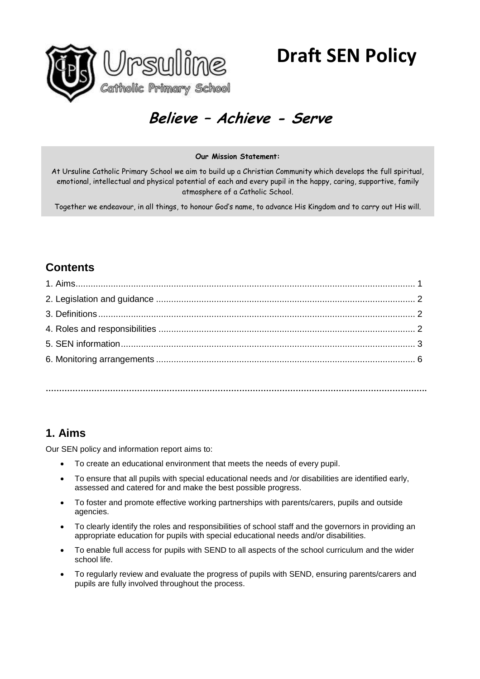

# **Believe – Achieve - Serve**

#### **Our Mission Statement:**

At Ursuline Catholic Primary School we aim to build up a Christian Community which develops the full spiritual, emotional, intellectual and physical potential of each and every pupil in the happy, caring, supportive, family atmosphere of a Catholic School.

Together we endeavour, in all things, to honour God's name, to advance His Kingdom and to carry out His will.

# **Contents**

**…………………………………………………………………………………………………………………………….**

# **1. Aims**

Our SEN policy and information report aims to:

- To create an educational environment that meets the needs of every pupil.
- To ensure that all pupils with special educational needs and /or disabilities are identified early, assessed and catered for and make the best possible progress.
- To foster and promote effective working partnerships with parents/carers, pupils and outside agencies.
- To clearly identify the roles and responsibilities of school staff and the governors in providing an appropriate education for pupils with special educational needs and/or disabilities.
- To enable full access for pupils with SEND to all aspects of the school curriculum and the wider school life.
- To regularly review and evaluate the progress of pupils with SEND, ensuring parents/carers and pupils are fully involved throughout the process.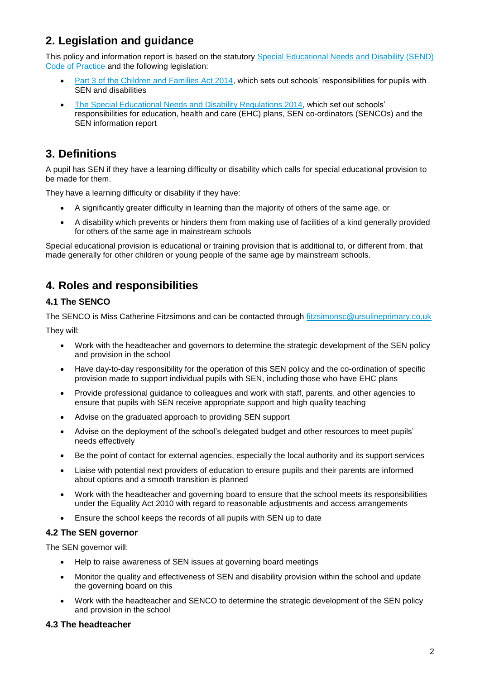# **2. Legislation and guidance**

This policy and information report is based on the statutory [Special Educational Needs and Disability \(SEND\)](https://www.gov.uk/government/uploads/system/uploads/attachment_data/file/398815/SEND_Code_of_Practice_January_2015.pdf)  [Code of Practice](https://www.gov.uk/government/uploads/system/uploads/attachment_data/file/398815/SEND_Code_of_Practice_January_2015.pdf) and the following legislation:

- [Part 3 of the Children and Families Act 2014,](http://www.legislation.gov.uk/ukpga/2014/6/part/3) which sets out schools' responsibilities for pupils with SEN and disabilities
- [The Special Educational Needs and Disability Regulations 2014,](http://www.legislation.gov.uk/uksi/2014/1530/contents/made) which set out schools' responsibilities for education, health and care (EHC) plans, SEN co-ordinators (SENCOs) and the SEN information report

# **3. Definitions**

A pupil has SEN if they have a learning difficulty or disability which calls for special educational provision to be made for them.

They have a learning difficulty or disability if they have:

- A significantly greater difficulty in learning than the majority of others of the same age, or
- A disability which prevents or hinders them from making use of facilities of a kind generally provided for others of the same age in mainstream schools

Special educational provision is educational or training provision that is additional to, or different from, that made generally for other children or young people of the same age by mainstream schools.

## **4. Roles and responsibilities**

#### **4.1 The SENCO**

The SENCO is Miss Catherine Fitzsimons and can be contacted through [fitzsimonsc@ursulineprimary.co.uk](file:///C:/Users/hampson.t/Downloads/fitzsimonsc@ursulineprimary.co.uk)

They will:

- Work with the headteacher and governors to determine the strategic development of the SEN policy and provision in the school
- Have day-to-day responsibility for the operation of this SEN policy and the co-ordination of specific provision made to support individual pupils with SEN, including those who have EHC plans
- Provide professional guidance to colleagues and work with staff, parents, and other agencies to ensure that pupils with SEN receive appropriate support and high quality teaching
- Advise on the graduated approach to providing SEN support
- Advise on the deployment of the school's delegated budget and other resources to meet pupils' needs effectively
- Be the point of contact for external agencies, especially the local authority and its support services
- Liaise with potential next providers of education to ensure pupils and their parents are informed about options and a smooth transition is planned
- Work with the headteacher and governing board to ensure that the school meets its responsibilities under the Equality Act 2010 with regard to reasonable adjustments and access arrangements
- Ensure the school keeps the records of all pupils with SEN up to date

#### **4.2 The SEN governor**

The SEN governor will:

- Help to raise awareness of SEN issues at governing board meetings
- Monitor the quality and effectiveness of SEN and disability provision within the school and update the governing board on this
- Work with the headteacher and SENCO to determine the strategic development of the SEN policy and provision in the school

#### **4.3 The headteacher**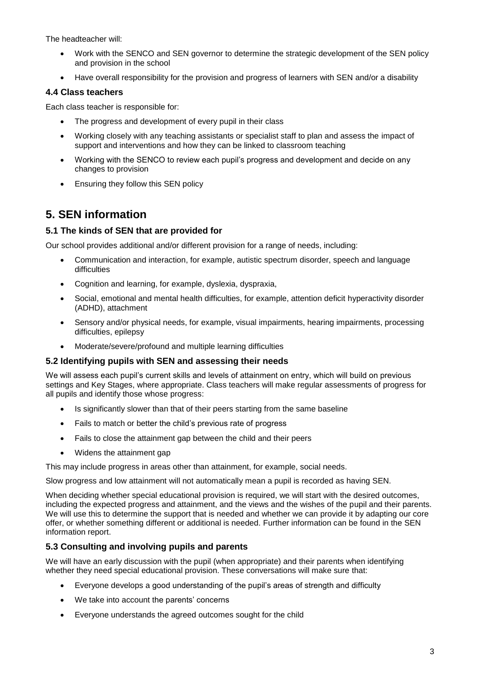The headteacher will:

- Work with the SENCO and SEN governor to determine the strategic development of the SEN policy and provision in the school
- Have overall responsibility for the provision and progress of learners with SEN and/or a disability

#### **4.4 Class teachers**

Each class teacher is responsible for:

- The progress and development of every pupil in their class
- Working closely with any teaching assistants or specialist staff to plan and assess the impact of support and interventions and how they can be linked to classroom teaching
- Working with the SENCO to review each pupil's progress and development and decide on any changes to provision
- Ensuring they follow this SEN policy

## **5. SEN information**

#### **5.1 The kinds of SEN that are provided for**

Our school provides additional and/or different provision for a range of needs, including:

- Communication and interaction, for example, autistic spectrum disorder, speech and language difficulties
- Cognition and learning, for example, dyslexia, dyspraxia,
- Social, emotional and mental health difficulties, for example, attention deficit hyperactivity disorder (ADHD), attachment
- Sensory and/or physical needs, for example, visual impairments, hearing impairments, processing difficulties, epilepsy
- Moderate/severe/profound and multiple learning difficulties

#### **5.2 Identifying pupils with SEN and assessing their needs**

We will assess each pupil's current skills and levels of attainment on entry, which will build on previous settings and Key Stages, where appropriate. Class teachers will make regular assessments of progress for all pupils and identify those whose progress:

- Is significantly slower than that of their peers starting from the same baseline
- Fails to match or better the child's previous rate of progress
- Fails to close the attainment gap between the child and their peers
- Widens the attainment gap

This may include progress in areas other than attainment, for example, social needs.

Slow progress and low attainment will not automatically mean a pupil is recorded as having SEN.

When deciding whether special educational provision is required, we will start with the desired outcomes, including the expected progress and attainment, and the views and the wishes of the pupil and their parents. We will use this to determine the support that is needed and whether we can provide it by adapting our core offer, or whether something different or additional is needed. Further information can be found in the SEN information report.

#### **5.3 Consulting and involving pupils and parents**

We will have an early discussion with the pupil (when appropriate) and their parents when identifying whether they need special educational provision. These conversations will make sure that:

- Everyone develops a good understanding of the pupil's areas of strength and difficulty
- We take into account the parents' concerns
- Everyone understands the agreed outcomes sought for the child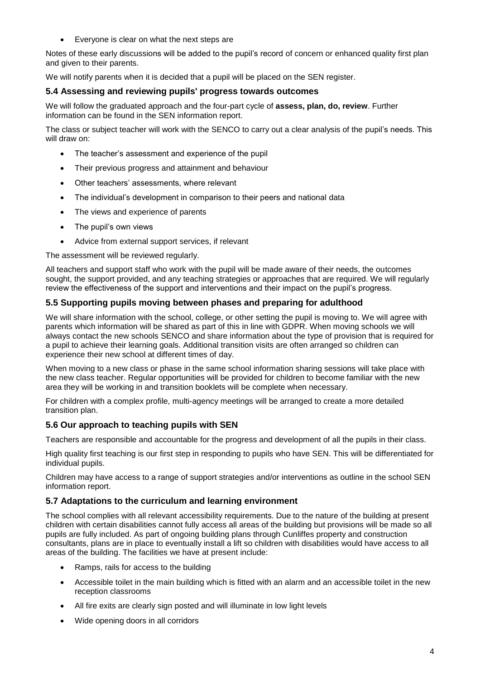Everyone is clear on what the next steps are

Notes of these early discussions will be added to the pupil's record of concern or enhanced quality first plan and given to their parents.

We will notify parents when it is decided that a pupil will be placed on the SEN register.

#### **5.4 Assessing and reviewing pupils' progress towards outcomes**

We will follow the graduated approach and the four-part cycle of **assess, plan, do, review**. Further information can be found in the SEN information report.

The class or subject teacher will work with the SENCO to carry out a clear analysis of the pupil's needs. This will draw on:

- The teacher's assessment and experience of the pupil
- Their previous progress and attainment and behaviour
- Other teachers' assessments, where relevant
- The individual's development in comparison to their peers and national data
- The views and experience of parents
- The pupil's own views
- Advice from external support services, if relevant

The assessment will be reviewed regularly.

All teachers and support staff who work with the pupil will be made aware of their needs, the outcomes sought, the support provided, and any teaching strategies or approaches that are required. We will regularly review the effectiveness of the support and interventions and their impact on the pupil's progress.

#### **5.5 Supporting pupils moving between phases and preparing for adulthood**

We will share information with the school, college, or other setting the pupil is moving to. We will agree with parents which information will be shared as part of this in line with GDPR. When moving schools we will always contact the new schools SENCO and share information about the type of provision that is required for a pupil to achieve their learning goals. Additional transition visits are often arranged so children can experience their new school at different times of day.

When moving to a new class or phase in the same school information sharing sessions will take place with the new class teacher. Regular opportunities will be provided for children to become familiar with the new area they will be working in and transition booklets will be complete when necessary.

For children with a complex profile, multi-agency meetings will be arranged to create a more detailed transition plan.

#### **5.6 Our approach to teaching pupils with SEN**

Teachers are responsible and accountable for the progress and development of all the pupils in their class.

High quality first teaching is our first step in responding to pupils who have SEN. This will be differentiated for individual pupils.

Children may have access to a range of support strategies and/or interventions as outline in the school SEN information report.

#### **5.7 Adaptations to the curriculum and learning environment**

The school complies with all relevant accessibility requirements. Due to the nature of the building at present children with certain disabilities cannot fully access all areas of the building but provisions will be made so all pupils are fully included. As part of ongoing building plans through Cunliffes property and construction consultants, plans are in place to eventually install a lift so children with disabilities would have access to all areas of the building. The facilities we have at present include:

- Ramps, rails for access to the building
- Accessible toilet in the main building which is fitted with an alarm and an accessible toilet in the new reception classrooms
- All fire exits are clearly sign posted and will illuminate in low light levels
- Wide opening doors in all corridors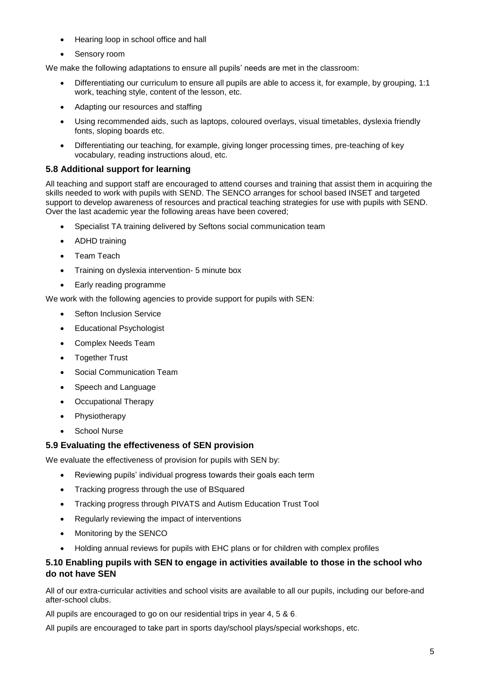- Hearing loop in school office and hall
- Sensory room

We make the following adaptations to ensure all pupils' needs are met in the classroom:

- Differentiating our curriculum to ensure all pupils are able to access it, for example, by grouping, 1:1 work, teaching style, content of the lesson, etc.
- Adapting our resources and staffing
- Using recommended aids, such as laptops, coloured overlays, visual timetables, dyslexia friendly fonts, sloping boards etc.
- Differentiating our teaching, for example, giving longer processing times, pre-teaching of key vocabulary, reading instructions aloud, etc.

#### **5.8 Additional support for learning**

All teaching and support staff are encouraged to attend courses and training that assist them in acquiring the skills needed to work with pupils with SEND. The SENCO arranges for school based INSET and targeted support to develop awareness of resources and practical teaching strategies for use with pupils with SEND. Over the last academic year the following areas have been covered;

- Specialist TA training delivered by Seftons social communication team
- ADHD training
- Team Teach
- Training on dyslexia intervention- 5 minute box
- Early reading programme

We work with the following agencies to provide support for pupils with SEN:

- Sefton Inclusion Service
- Educational Psychologist
- Complex Needs Team
- Together Trust
- **•** Social Communication Team
- Speech and Language
- Occupational Therapy
- Physiotherapy
- School Nurse

#### **5.9 Evaluating the effectiveness of SEN provision**

We evaluate the effectiveness of provision for pupils with SEN by:

- Reviewing pupils' individual progress towards their goals each term
- Tracking progress through the use of BSquared
- Tracking progress through PIVATS and Autism Education Trust Tool
- Regularly reviewing the impact of interventions
- Monitoring by the SENCO
- Holding annual reviews for pupils with EHC plans or for children with complex profiles

#### **5.10 Enabling pupils with SEN to engage in activities available to those in the school who do not have SEN**

All of our extra-curricular activities and school visits are available to all our pupils, including our before-and after-school clubs.

All pupils are encouraged to go on our residential trips in year 4, 5 & 6.

All pupils are encouraged to take part in sports day/school plays/special workshops, etc.